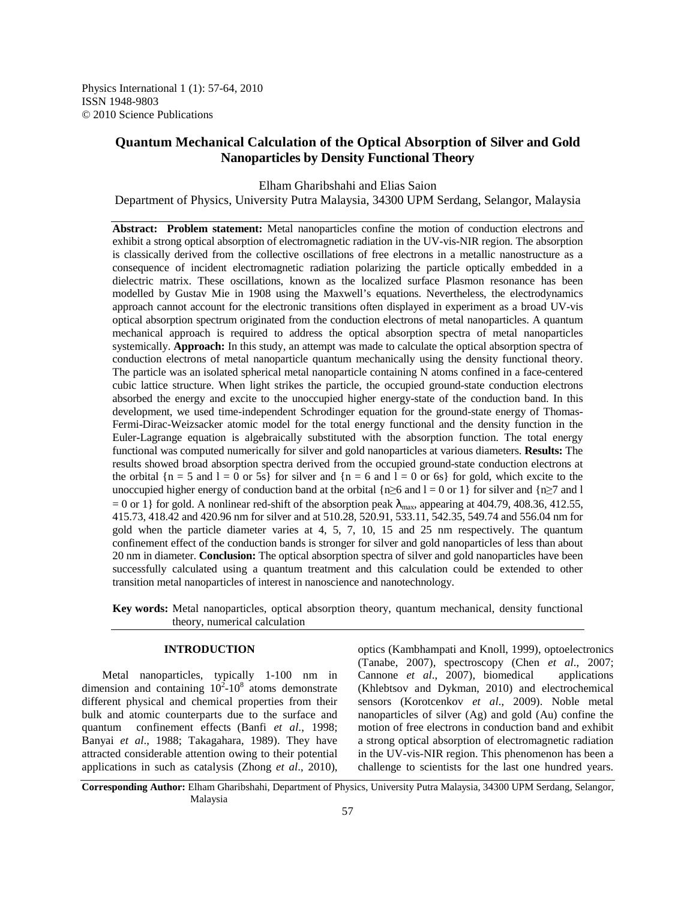Physics International 1 (1): 57-64, 2010 ISSN 1948-9803 © 2010 Science Publications

# **Quantum Mechanical Calculation of the Optical Absorption of Silver and Gold Nanoparticles by Density Functional Theory**

Elham Gharibshahi and Elias Saion

Department of Physics, University Putra Malaysia, 34300 UPM Serdang, Selangor, Malaysia

**Abstract: Problem statement:** Metal nanoparticles confine the motion of conduction electrons and exhibit a strong optical absorption of electromagnetic radiation in the UV-vis-NIR region. The absorption is classically derived from the collective oscillations of free electrons in a metallic nanostructure as a consequence of incident electromagnetic radiation polarizing the particle optically embedded in a dielectric matrix. These oscillations, known as the localized surface Plasmon resonance has been modelled by Gustav Mie in 1908 using the Maxwell's equations. Nevertheless, the electrodynamics approach cannot account for the electronic transitions often displayed in experiment as a broad UV-vis optical absorption spectrum originated from the conduction electrons of metal nanoparticles. A quantum mechanical approach is required to address the optical absorption spectra of metal nanoparticles systemically. **Approach:** In this study, an attempt was made to calculate the optical absorption spectra of conduction electrons of metal nanoparticle quantum mechanically using the density functional theory. The particle was an isolated spherical metal nanoparticle containing N atoms confined in a face-centered cubic lattice structure. When light strikes the particle, the occupied ground-state conduction electrons absorbed the energy and excite to the unoccupied higher energy-state of the conduction band. In this development, we used time-independent Schrodinger equation for the ground-state energy of Thomas-Fermi-Dirac-Weizsacker atomic model for the total energy functional and the density function in the Euler-Lagrange equation is algebraically substituted with the absorption function. The total energy functional was computed numerically for silver and gold nanoparticles at various diameters. **Results:** The results showed broad absorption spectra derived from the occupied ground-state conduction electrons at the orbital  $\{n = 5 \text{ and } l = 0 \text{ or } 5s\}$  for silver and  $\{n = 6 \text{ and } l = 0 \text{ or } 6s\}$  for gold, which excite to the unoccupied higher energy of conduction band at the orbital {n≥6 and l = 0 or 1} for silver and {n≥7 and l = 0 or 1} for gold. A nonlinear red-shift of the absorption peak  $\lambda_{\text{max}}$ , appearing at 404.79, 408.36, 412.55, 415.73, 418.42 and 420.96 nm for silver and at 510.28, 520.91, 533.11, 542.35, 549.74 and 556.04 nm for gold when the particle diameter varies at 4, 5, 7, 10, 15 and 25 nm respectively. The quantum confinement effect of the conduction bands is stronger for silver and gold nanoparticles of less than about 20 nm in diameter. **Conclusion:** The optical absorption spectra of silver and gold nanoparticles have been successfully calculated using a quantum treatment and this calculation could be extended to other transition metal nanoparticles of interest in nanoscience and nanotechnology.

**Key words:** Metal nanoparticles, optical absorption theory, quantum mechanical, density functional theory, numerical calculation

# **INTRODUCTION**

 Metal nanoparticles, typically 1-100 nm in dimension and containing  $10^2$ -10<sup>8</sup> atoms demonstrate different physical and chemical properties from their bulk and atomic counterparts due to the surface and quantum confinement effects (Banfi *et al*., 1998; Banyai *et al*., 1988; Takagahara, 1989). They have attracted considerable attention owing to their potential applications in such as catalysis (Zhong *et al*., 2010),

optics (Kambhampati and Knoll, 1999), optoelectronics (Tanabe, 2007), spectroscopy (Chen *et al*., 2007; Cannone *et al*., 2007), biomedical applications (Khlebtsov and Dykman, 2010) and electrochemical sensors (Korotcenkov *et al*., 2009). Noble metal nanoparticles of silver (Ag) and gold (Au) confine the motion of free electrons in conduction band and exhibit a strong optical absorption of electromagnetic radiation in the UV-vis-NIR region. This phenomenon has been a challenge to scientists for the last one hundred years.

**Corresponding Author:** Elham Gharibshahi, Department of Physics, University Putra Malaysia, 34300 UPM Serdang, Selangor, Malaysia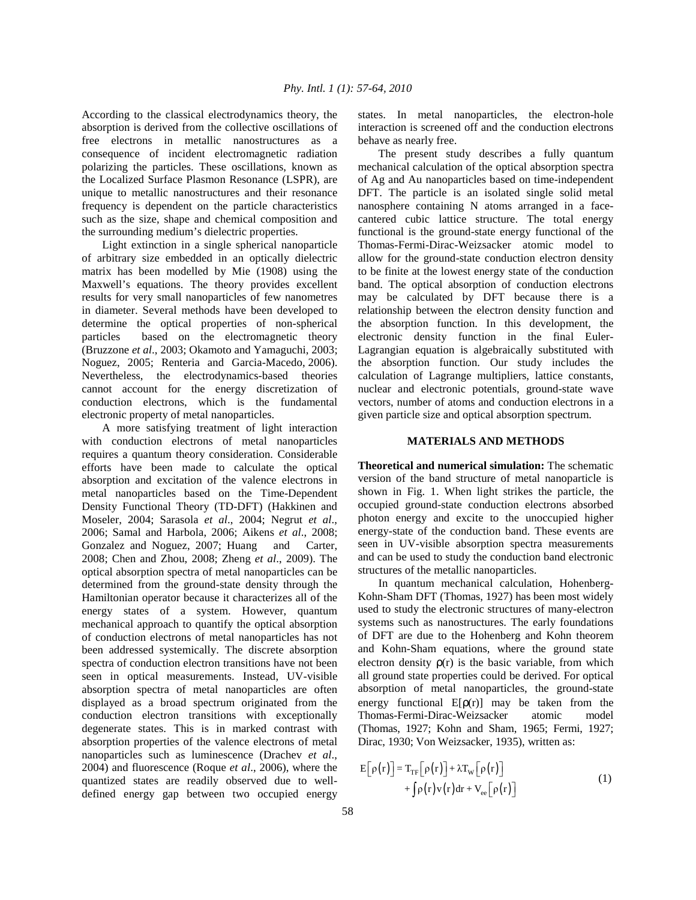According to the classical electrodynamics theory, the absorption is derived from the collective oscillations of free electrons in metallic nanostructures as a consequence of incident electromagnetic radiation polarizing the particles. These oscillations, known as the Localized Surface Plasmon Resonance (LSPR), are unique to metallic nanostructures and their resonance frequency is dependent on the particle characteristics such as the size, shape and chemical composition and the surrounding medium's dielectric properties.

 Light extinction in a single spherical nanoparticle of arbitrary size embedded in an optically dielectric matrix has been modelled by Mie (1908) using the Maxwell's equations. The theory provides excellent results for very small nanoparticles of few nanometres in diameter. Several methods have been developed to determine the optical properties of non-spherical particles based on the electromagnetic theory (Bruzzone *et al*., 2003; Okamoto and Yamaguchi, 2003; Noguez, 2005; Renteria and Garcia-Macedo, 2006). Nevertheless, the electrodynamics-based theories cannot account for the energy discretization of conduction electrons, which is the fundamental electronic property of metal nanoparticles.

 A more satisfying treatment of light interaction with conduction electrons of metal nanoparticles requires a quantum theory consideration. Considerable efforts have been made to calculate the optical absorption and excitation of the valence electrons in metal nanoparticles based on the Time-Dependent Density Functional Theory (TD-DFT) (Hakkinen and Moseler, 2004; Sarasola *et al*., 2004; Negrut *et al*., 2006; Samal and Harbola, 2006; Aikens *et al*., 2008; Gonzalez and Noguez, 2007; Huang and Carter, 2008; Chen and Zhou, 2008; Zheng *et al*., 2009). The optical absorption spectra of metal nanoparticles can be determined from the ground-state density through the Hamiltonian operator because it characterizes all of the energy states of a system. However, quantum mechanical approach to quantify the optical absorption of conduction electrons of metal nanoparticles has not been addressed systemically. The discrete absorption spectra of conduction electron transitions have not been seen in optical measurements. Instead, UV-visible absorption spectra of metal nanoparticles are often displayed as a broad spectrum originated from the conduction electron transitions with exceptionally degenerate states. This is in marked contrast with absorption properties of the valence electrons of metal nanoparticles such as luminescence (Drachev *et al*., 2004) and fluorescence (Roque *et al*., 2006), where the quantized states are readily observed due to welldefined energy gap between two occupied energy

states. In metal nanoparticles, the electron-hole interaction is screened off and the conduction electrons behave as nearly free.

 The present study describes a fully quantum mechanical calculation of the optical absorption spectra of Ag and Au nanoparticles based on time-independent DFT. The particle is an isolated single solid metal nanosphere containing N atoms arranged in a facecantered cubic lattice structure. The total energy functional is the ground-state energy functional of the Thomas-Fermi-Dirac-Weizsacker atomic model to allow for the ground-state conduction electron density to be finite at the lowest energy state of the conduction band. The optical absorption of conduction electrons may be calculated by DFT because there is a relationship between the electron density function and the absorption function. In this development, the electronic density function in the final Euler-Lagrangian equation is algebraically substituted with the absorption function. Our study includes the calculation of Lagrange multipliers, lattice constants, nuclear and electronic potentials, ground-state wave vectors, number of atoms and conduction electrons in a given particle size and optical absorption spectrum.

## **MATERIALS AND METHODS**

**Theoretical and numerical simulation:** The schematic version of the band structure of metal nanoparticle is shown in Fig. 1. When light strikes the particle, the occupied ground-state conduction electrons absorbed photon energy and excite to the unoccupied higher energy-state of the conduction band. These events are seen in UV-visible absorption spectra measurements and can be used to study the conduction band electronic structures of the metallic nanoparticles.

 In quantum mechanical calculation, Hohenberg-Kohn-Sham DFT (Thomas, 1927) has been most widely used to study the electronic structures of many-electron systems such as nanostructures. The early foundations of DFT are due to the Hohenberg and Kohn theorem and Kohn-Sham equations, where the ground state electron density  $\rho(r)$  is the basic variable, from which all ground state properties could be derived. For optical absorption of metal nanoparticles, the ground-state energy functional  $E[\rho(r)]$  may be taken from the Thomas-Fermi-Dirac-Weizsacker atomic model (Thomas, 1927; Kohn and Sham, 1965; Fermi, 1927; Dirac, 1930; Von Weizsacker, 1935), written as:

$$
E[\rho(r)] = T_{TF}[\rho(r)] + \lambda T_W[\rho(r)]
$$
  
+  $\int \rho(r)v(r)dr + V_{ee}[\rho(r)]$  (1)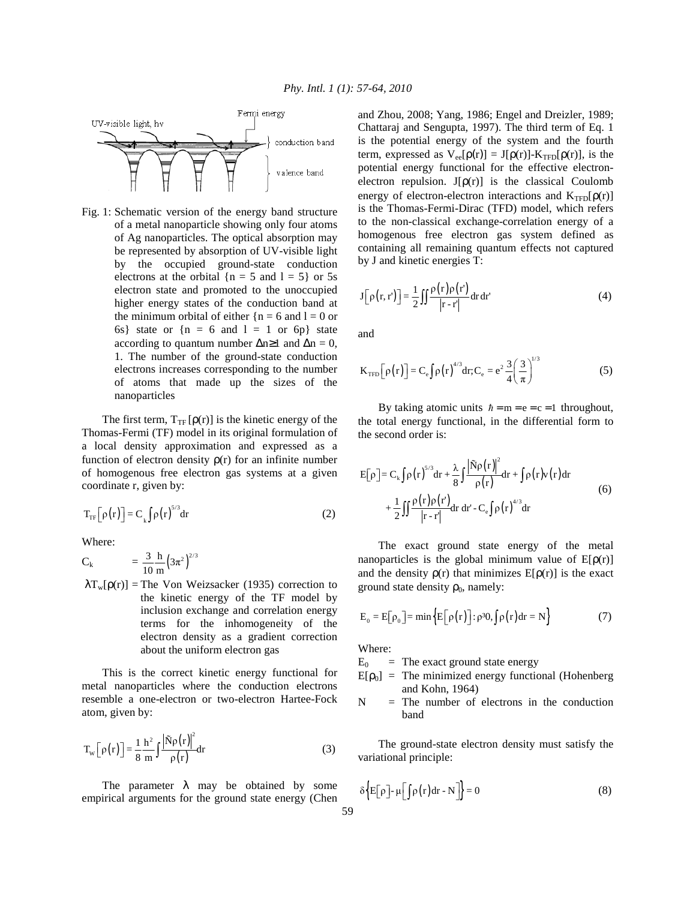

Fig. 1: Schematic version of the energy band structure of a metal nanoparticle showing only four atoms of Ag nanoparticles. The optical absorption may be represented by absorption of UV-visible light by the occupied ground-state conduction electrons at the orbital  ${n = 5}$  and  $1 = 5$  or 5s electron state and promoted to the unoccupied higher energy states of the conduction band at the minimum orbital of either  ${n = 6}$  and  $l = 0$  or 6s} state or  $\{n = 6 \text{ and } 1 = 1 \text{ or } 6p\}$  state according to quantum number  $\Delta n \ge 1$  and  $\Delta n = 0$ , 1. The number of the ground-state conduction electrons increases corresponding to the number of atoms that made up the sizes of the nanoparticles

The first term,  $T_{TF}[\rho(r)]$  is the kinetic energy of the Thomas-Fermi (TF) model in its original formulation of a local density approximation and expressed as a function of electron density  $\rho(r)$  for an infinite number of homogenous free electron gas systems at a given coordinate r, given by:

$$
T_{\rm TF}\left[\rho(r)\right] = C_{\rm k} \int \rho(r)^{5/3} dr \tag{2}
$$

Where:

$$
C_k = \frac{3}{10} \frac{h}{m} (3\pi^2)^{2/3}
$$

 $\lambda T_w[\rho(r)]$  = The Von Weizsacker (1935) correction to the kinetic energy of the TF model by inclusion exchange and correlation energy terms for the inhomogeneity of the electron density as a gradient correction about the uniform electron gas

 This is the correct kinetic energy functional for metal nanoparticles where the conduction electrons resemble a one-electron or two-electron Hartee-Fock atom, given by:

$$
T_w \left[ \rho(r) \right] = \frac{1}{8} \frac{h^2}{m} \int \frac{\left| \tilde{N} \rho(r) \right|^2}{\rho(r)} dr \tag{3}
$$

The parameter  $\lambda$  may be obtained by some empirical arguments for the ground state energy (Chen and Zhou, 2008; Yang, 1986; Engel and Dreizler, 1989; Chattaraj and Sengupta, 1997). The third term of Eq. 1 is the potential energy of the system and the fourth term, expressed as  $V_{ee}[\rho(r)] = J[\rho(r)] - K_{TFD}[\rho(r)]$ , is the potential energy functional for the effective electronelectron repulsion.  $J[\rho(r)]$  is the classical Coulomb energy of electron-electron interactions and  $K_{TFD}[\rho(r)]$ is the Thomas-Fermi-Dirac (TFD) model, which refers to the non-classical exchange-correlation energy of a homogenous free electron gas system defined as containing all remaining quantum effects not captured by J and kinetic energies T:

$$
J\left[\rho(r,r')\right] = \frac{1}{2} \iint \frac{\rho(r)\rho(r')}{|r-r'|} dr dr'
$$
 (4)

and

$$
K_{\text{TFD}}\left[\rho(r)\right] = C_{\text{e}}\int \rho(r)^{4/3} dr; C_{\text{e}} = e^2 \frac{3}{4} \left(\frac{3}{\pi}\right)^{1/3} \tag{5}
$$

By taking atomic units  $\hbar = m = e = c = 1$  throughout, the total energy functional, in the differential form to the second order is:

$$
E[\rho] = C_{k} \int \rho(r)^{5/3} dr + \frac{\lambda}{8} \int \frac{|\tilde{N}\rho(r)|^{2}}{\rho(r)} dr + \int \rho(r)v(r) dr
$$
  
+ 
$$
\frac{1}{2} \iint \frac{\rho(r)\rho(r)}{|r-r|} dr dr' - C_{e} \int \rho(r)^{4/3} dr
$$
 (6)

 The exact ground state energy of the metal nanoparticles is the global minimum value of  $E[\rho(r)]$ and the density  $\rho(r)$  that minimizes  $E[\rho(r)]$  is the exact ground state density  $\rho_0$ , namely:

$$
E_0 = E[\rho_0] = \min\left\{E[\rho(r)] : \rho^{30}, \int \rho(r) dr = N\right\}
$$
 (7)

Where:

 $E_0$  = The exact ground state energy

- $E[\rho_0]$  = The minimized energy functional (Hohenberg and Kohn, 1964)
- $N = Th$ e number of electrons in the conduction band

 The ground-state electron density must satisfy the variational principle:

$$
\delta \Big\{ E\big[\rho\big] - \mu \big[\int \rho(r) dr - N \big] \Big\} = 0 \tag{8}
$$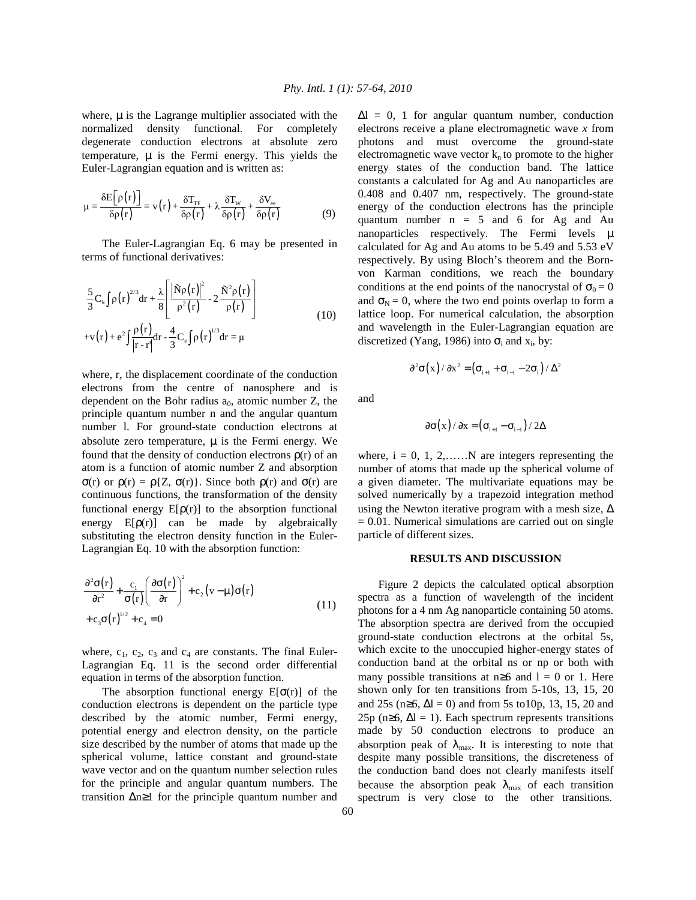where,  $\mu$  is the Lagrange multiplier associated with the normalized density functional. For completely degenerate conduction electrons at absolute zero temperature,  $\mu$  is the Fermi energy. This yields the Euler-Lagrangian equation and is written as:

$$
\mu = \frac{\delta E\big[\rho(r)\big]}{\delta \rho(r)} = v(r) + \frac{\delta T_{rr}}{\delta \rho(r)} + \lambda \frac{\delta T_w}{\delta \rho(r)} + \frac{\delta V_{ee}}{\delta \rho(r)}\tag{9}
$$

 The Euler-Lagrangian Eq. 6 may be presented in terms of functional derivatives:

$$
\frac{5}{3}C_{k}\int\rho(r)^{2/3}dr + \frac{\lambda}{8}\left[\frac{|\tilde{N}\rho(r)|^{2}}{\rho^{2}(r)} - 2\frac{\tilde{N}^{2}\rho(r)}{\rho(r)}\right]
$$
  
+v(r) + e<sup>2</sup> $\int\frac{\rho(r)}{|r-r'|}dr - \frac{4}{3}C_{e}\int\rho(r)^{1/3}dr = \mu$  (10)

where, r, the displacement coordinate of the conduction electrons from the centre of nanosphere and is dependent on the Bohr radius  $a_0$ , atomic number Z, the principle quantum number n and the angular quantum number l. For ground-state conduction electrons at absolute zero temperature,  $\mu$  is the Fermi energy. We found that the density of conduction electrons  $\rho(r)$  of an atom is a function of atomic number Z and absorption σ(r) or  $ρ(r) = ρ{Z, σ(r)}$ . Since both  $ρ(r)$  and  $σ(r)$  are continuous functions, the transformation of the density functional energy  $E[\rho(r)]$  to the absorption functional energy  $E[\rho(r)]$  can be made by algebraically substituting the electron density function in the Euler-Lagrangian Eq. 10 with the absorption function:

$$
\frac{\partial^2 \sigma(r)}{\partial r^2} + \frac{c_1}{\sigma(r)} \left( \frac{\partial \sigma(r)}{\partial r} \right)^2 + c_2 (v - \mu) \sigma(r) \n+ c_3 \sigma(r)^{1/2} + c_4 = 0
$$
\n(11)

where,  $c_1$ ,  $c_2$ ,  $c_3$  and  $c_4$  are constants. The final Euler-Lagrangian Eq. 11 is the second order differential equation in terms of the absorption function.

The absorption functional energy  $E[\sigma(r)]$  of the conduction electrons is dependent on the particle type described by the atomic number, Fermi energy, potential energy and electron density, on the particle size described by the number of atoms that made up the spherical volume, lattice constant and ground-state wave vector and on the quantum number selection rules for the principle and angular quantum numbers. The transition ∆n≥1 for the principle quantum number and  $\Delta l = 0$ , 1 for angular quantum number, conduction electrons receive a plane electromagnetic wave *x* from photons and must overcome the ground-state electromagnetic wave vector  $k_n$  to promote to the higher energy states of the conduction band. The lattice constants a calculated for Ag and Au nanoparticles are 0.408 and 0.407 nm, respectively. The ground-state energy of the conduction electrons has the principle quantum number  $n = 5$  and 6 for Ag and Au nanoparticles respectively. The Fermi levels  $\mu$ calculated for Ag and Au atoms to be 5.49 and 5.53 eV respectively. By using Bloch's theorem and the Bornvon Karman conditions, we reach the boundary conditions at the end points of the nanocrystal of  $\sigma_0 = 0$ and  $\sigma_N = 0$ , where the two end points overlap to form a lattice loop. For numerical calculation, the absorption and wavelength in the Euler-Lagrangian equation are discretized (Yang, 1986) into  $\sigma_i$  and  $x_i$ , by:

$$
\partial^2 \sigma(x)/\partial x^2 = (\sigma_{i+1} + \sigma_{i-1} - 2\sigma_i)/\Delta^2
$$

and

$$
\partial \sigma(x) / \partial x = (\sigma_{i+1} - \sigma_{i-1}) / 2\Delta
$$

where,  $i = 0, 1, 2, \ldots$  N are integers representing the number of atoms that made up the spherical volume of a given diameter. The multivariate equations may be solved numerically by a trapezoid integration method using the Newton iterative program with a mesh size,  $\Delta$  $= 0.01$ . Numerical simulations are carried out on single particle of different sizes.

#### **RESULTS AND DISCUSSION**

 Figure 2 depicts the calculated optical absorption spectra as a function of wavelength of the incident photons for a 4 nm Ag nanoparticle containing 50 atoms. The absorption spectra are derived from the occupied ground-state conduction electrons at the orbital 5s, which excite to the unoccupied higher-energy states of conduction band at the orbital ns or np or both with many possible transitions at  $n\geq 6$  and  $l = 0$  or 1. Here shown only for ten transitions from 5-10s, 13, 15, 20 and 25s (n≥6,  $\Delta l = 0$ ) and from 5s to10p, 13, 15, 20 and 25p (n≥6,  $\Delta l = 1$ ). Each spectrum represents transitions made by 50 conduction electrons to produce an absorption peak of  $\lambda_{\text{max}}$ . It is interesting to note that despite many possible transitions, the discreteness of the conduction band does not clearly manifests itself because the absorption peak  $\lambda_{\text{max}}$  of each transition spectrum is very close to the other transitions.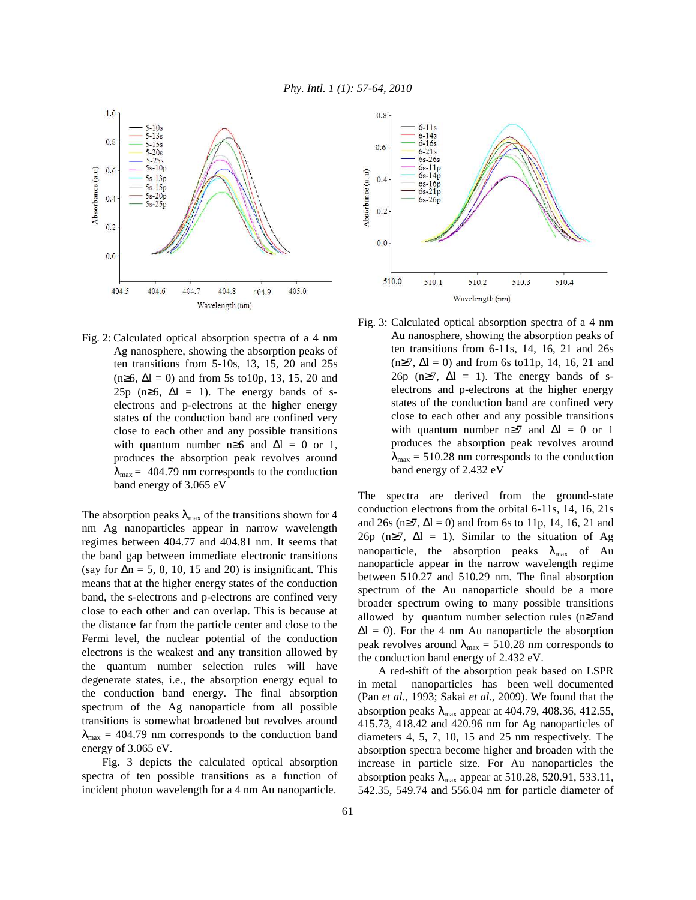

Fig. 2: Calculated optical absorption spectra of a 4 nm Ag nanosphere, showing the absorption peaks of ten transitions from 5-10s, 13, 15, 20 and 25s  $(n≥6, ∆l = 0)$  and from 5s to10p, 13, 15, 20 and 25p (n≥6,  $\Delta l = 1$ ). The energy bands of selectrons and p-electrons at the higher energy states of the conduction band are confined very close to each other and any possible transitions with quantum number n≥6 and  $\Delta l = 0$  or 1, produces the absorption peak revolves around  $\lambda_{\text{max}} = 404.79$  nm corresponds to the conduction band energy of 3.065 eV

The absorption peaks  $\lambda_{\text{max}}$  of the transitions shown for 4 nm Ag nanoparticles appear in narrow wavelength regimes between 404.77 and 404.81 nm. It seems that the band gap between immediate electronic transitions (say for  $\Delta n = 5$ , 8, 10, 15 and 20) is insignificant. This means that at the higher energy states of the conduction band, the s-electrons and p-electrons are confined very close to each other and can overlap. This is because at the distance far from the particle center and close to the Fermi level, the nuclear potential of the conduction electrons is the weakest and any transition allowed by the quantum number selection rules will have degenerate states, i.e., the absorption energy equal to the conduction band energy. The final absorption spectrum of the Ag nanoparticle from all possible transitions is somewhat broadened but revolves around  $\lambda_{\text{max}} = 404.79$  nm corresponds to the conduction band energy of 3.065 eV.

 Fig. 3 depicts the calculated optical absorption spectra of ten possible transitions as a function of incident photon wavelength for a 4 nm Au nanoparticle.



Fig. 3: Calculated optical absorption spectra of a 4 nm Au nanosphere, showing the absorption peaks of ten transitions from 6-11s, 14, 16, 21 and 26s  $(n≥7, ∆l = 0)$  and from 6s to11p, 14, 16, 21 and 26p (n≥7,  $\Delta l = 1$ ). The energy bands of selectrons and p-electrons at the higher energy states of the conduction band are confined very close to each other and any possible transitions with quantum number n≥7 and  $\Delta l = 0$  or 1 produces the absorption peak revolves around  $\lambda_{\text{max}} = 510.28$  nm corresponds to the conduction band energy of 2.432 eV

The spectra are derived from the ground-state conduction electrons from the orbital 6-11s, 14, 16, 21s and 26s (n≥7,  $\Delta$ l = 0) and from 6s to 11p, 14, 16, 21 and 26p (n≥7,  $\Delta l = 1$ ). Similar to the situation of Ag nanoparticle, the absorption peaks  $\lambda_{\text{max}}$  of Au nanoparticle appear in the narrow wavelength regime between 510.27 and 510.29 nm. The final absorption spectrum of the Au nanoparticle should be a more broader spectrum owing to many possible transitions allowed by quantum number selection rules (n≥7and  $\Delta l = 0$ ). For the 4 nm Au nanoparticle the absorption peak revolves around  $\lambda_{\text{max}} = 510.28$  nm corresponds to the conduction band energy of 2.432 eV.

 A red-shift of the absorption peak based on LSPR in metal nanoparticles has been well documented (Pan *et al*., 1993; Sakai *et al*., 2009). We found that the absorption peaks  $\lambda_{\text{max}}$  appear at 404.79, 408.36, 412.55, 415.73, 418.42 and 420.96 nm for Ag nanoparticles of diameters 4, 5, 7, 10, 15 and 25 nm respectively. The absorption spectra become higher and broaden with the increase in particle size. For Au nanoparticles the absorption peaks  $\lambda_{\text{max}}$  appear at 510.28, 520.91, 533.11, 542.35, 549.74 and 556.04 nm for particle diameter of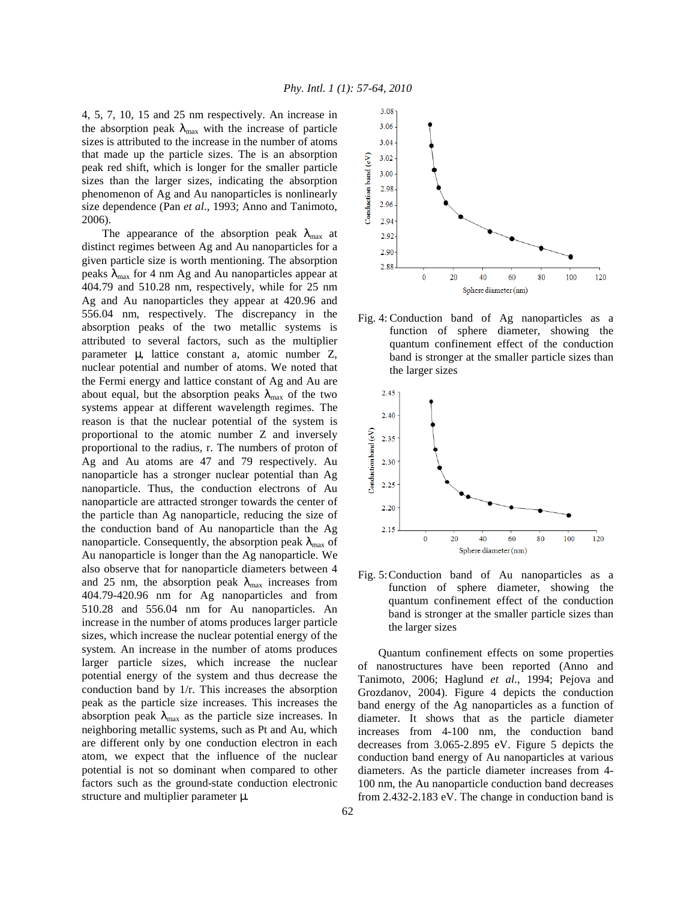4, 5, 7, 10, 15 and 25 nm respectively. An increase in the absorption peak  $\lambda_{\text{max}}$  with the increase of particle sizes is attributed to the increase in the number of atoms that made up the particle sizes. The is an absorption peak red shift, which is longer for the smaller particle sizes than the larger sizes, indicating the absorption phenomenon of Ag and Au nanoparticles is nonlinearly size dependence (Pan *et al*., 1993; Anno and Tanimoto, 2006).

The appearance of the absorption peak  $\lambda_{\text{max}}$  at distinct regimes between Ag and Au nanoparticles for a given particle size is worth mentioning. The absorption peaks  $\lambda_{\text{max}}$  for 4 nm Ag and Au nanoparticles appear at 404.79 and 510.28 nm, respectively, while for 25 nm Ag and Au nanoparticles they appear at 420.96 and 556.04 nm, respectively. The discrepancy in the absorption peaks of the two metallic systems is attributed to several factors, such as the multiplier parameter µ, lattice constant a, atomic number Z, nuclear potential and number of atoms. We noted that the Fermi energy and lattice constant of Ag and Au are about equal, but the absorption peaks  $\lambda_{\text{max}}$  of the two systems appear at different wavelength regimes. The reason is that the nuclear potential of the system is proportional to the atomic number Z and inversely proportional to the radius, r. The numbers of proton of Ag and Au atoms are 47 and 79 respectively. Au nanoparticle has a stronger nuclear potential than Ag nanoparticle. Thus, the conduction electrons of Au nanoparticle are attracted stronger towards the center of the particle than Ag nanoparticle, reducing the size of the conduction band of Au nanoparticle than the Ag nanoparticle. Consequently, the absorption peak  $\lambda_{\text{max}}$  of Au nanoparticle is longer than the Ag nanoparticle. We also observe that for nanoparticle diameters between 4 and 25 nm, the absorption peak  $\lambda_{\text{max}}$  increases from 404.79-420.96 nm for Ag nanoparticles and from 510.28 and 556.04 nm for Au nanoparticles. An increase in the number of atoms produces larger particle sizes, which increase the nuclear potential energy of the system. An increase in the number of atoms produces larger particle sizes, which increase the nuclear potential energy of the system and thus decrease the conduction band by 1/r. This increases the absorption peak as the particle size increases. This increases the absorption peak  $\lambda_{\text{max}}$  as the particle size increases. In neighboring metallic systems, such as Pt and Au, which are different only by one conduction electron in each atom, we expect that the influence of the nuclear potential is not so dominant when compared to other factors such as the ground-state conduction electronic structure and multiplier parameter µ.



Fig. 4: Conduction band of Ag nanoparticles as a function of sphere diameter, showing the quantum confinement effect of the conduction band is stronger at the smaller particle sizes than the larger sizes



Fig. 5: Conduction band of Au nanoparticles as a function of sphere diameter, showing the quantum confinement effect of the conduction band is stronger at the smaller particle sizes than the larger sizes

 Quantum confinement effects on some properties of nanostructures have been reported (Anno and Tanimoto, 2006; Haglund *et al*., 1994; Pejova and Grozdanov, 2004). Figure 4 depicts the conduction band energy of the Ag nanoparticles as a function of diameter. It shows that as the particle diameter increases from 4-100 nm, the conduction band decreases from 3.065-2.895 eV. Figure 5 depicts the conduction band energy of Au nanoparticles at various diameters. As the particle diameter increases from 4- 100 nm, the Au nanoparticle conduction band decreases from 2.432-2.183 eV. The change in conduction band is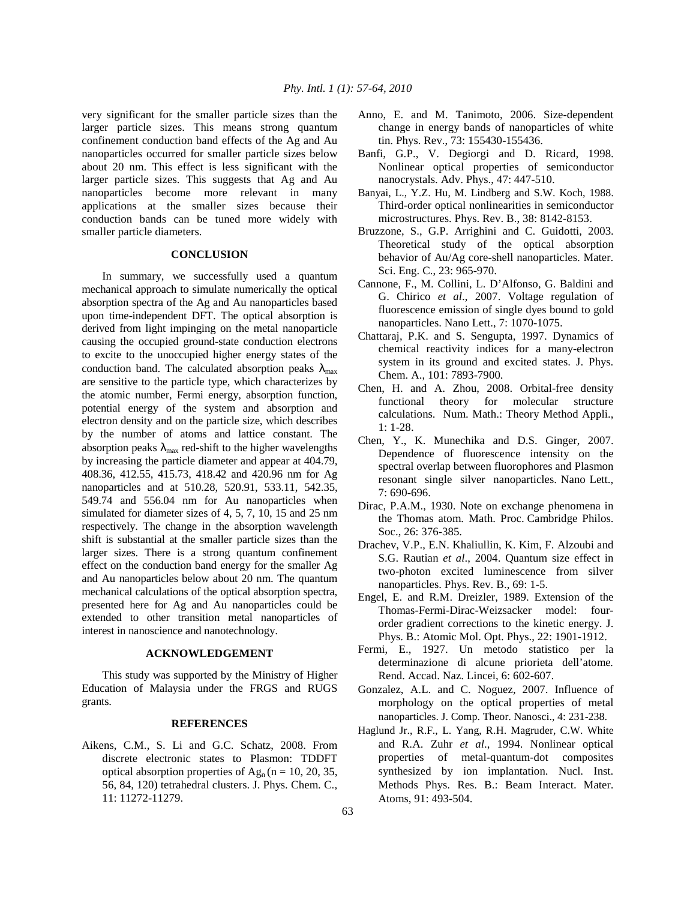very significant for the smaller particle sizes than the larger particle sizes. This means strong quantum confinement conduction band effects of the Ag and Au nanoparticles occurred for smaller particle sizes below about 20 nm. This effect is less significant with the larger particle sizes. This suggests that Ag and Au nanoparticles become more relevant in many applications at the smaller sizes because their conduction bands can be tuned more widely with smaller particle diameters.

## **CONCLUSION**

 In summary, we successfully used a quantum mechanical approach to simulate numerically the optical absorption spectra of the Ag and Au nanoparticles based upon time-independent DFT. The optical absorption is derived from light impinging on the metal nanoparticle causing the occupied ground-state conduction electrons to excite to the unoccupied higher energy states of the conduction band. The calculated absorption peaks  $\lambda_{\text{max}}$ are sensitive to the particle type, which characterizes by the atomic number, Fermi energy, absorption function, potential energy of the system and absorption and electron density and on the particle size, which describes by the number of atoms and lattice constant. The absorption peaks  $\lambda_{\text{max}}$  red-shift to the higher wavelengths by increasing the particle diameter and appear at 404.79, 408.36, 412.55, 415.73, 418.42 and 420.96 nm for Ag nanoparticles and at 510.28, 520.91, 533.11, 542.35, 549.74 and 556.04 nm for Au nanoparticles when simulated for diameter sizes of 4, 5, 7, 10, 15 and 25 nm respectively. The change in the absorption wavelength shift is substantial at the smaller particle sizes than the larger sizes. There is a strong quantum confinement effect on the conduction band energy for the smaller Ag and Au nanoparticles below about 20 nm. The quantum mechanical calculations of the optical absorption spectra, presented here for Ag and Au nanoparticles could be extended to other transition metal nanoparticles of interest in nanoscience and nanotechnology.

#### **ACKNOWLEDGEMENT**

 This study was supported by the Ministry of Higher Education of Malaysia under the FRGS and RUGS grants.

#### **REFERENCES**

Aikens, C.M., S. Li and G.C. Schatz, 2008. From discrete electronic states to Plasmon: TDDFT optical absorption properties of  $Ag_n (n = 10, 20, 35, ...)$ 56, 84, 120) tetrahedral clusters. J. Phys. Chem. C., 11: 11272-11279.

- Anno, E. and M. Tanimoto, 2006. Size-dependent change in energy bands of nanoparticles of white tin. Phys. Rev., 73: 155430-155436.
- Banfi, G.P., V. Degiorgi and D. Ricard, 1998. Nonlinear optical properties of semiconductor nanocrystals. Adv. Phys., 47: 447-510.
- Banyai, L., Y.Z. Hu, M. Lindberg and S.W. Koch, 1988. Third-order optical nonlinearities in semiconductor microstructures. Phys. Rev. B., 38: 8142-8153.
- Bruzzone, S., G.P. Arrighini and C. Guidotti, 2003. Theoretical study of the optical absorption behavior of Au/Ag core-shell nanoparticles. Mater. Sci. Eng. C., 23: 965-970.
- Cannone, F., M. Collini, L. D'Alfonso, G. Baldini and G. Chirico *et al*., 2007. Voltage regulation of fluorescence emission of single dyes bound to gold nanoparticles. Nano Lett., 7: 1070-1075.
- Chattaraj, P.K. and S. Sengupta, 1997. Dynamics of chemical reactivity indices for a many-electron system in its ground and excited states. J. Phys. Chem. A., 101: 7893-7900.
- Chen, H. and A. Zhou, 2008. Orbital-free density functional theory for molecular structure calculations. Num. Math.: Theory Method Appli., 1: 1-28.
- Chen, Y., K. Munechika and D.S. Ginger, 2007. Dependence of fluorescence intensity on the spectral overlap between fluorophores and Plasmon resonant single silver nanoparticles. Nano Lett., 7: 690-696.
- Dirac, P.A.M., 1930. Note on exchange phenomena in the Thomas atom. Math. Proc. Cambridge Philos. Soc., 26: 376-385.
- Drachev, V.P., E.N. Khaliullin, K. Kim, F. Alzoubi and S.G. Rautian *et al*., 2004. Quantum size effect in two-photon excited luminescence from silver nanoparticles. Phys. Rev. B., 69: 1-5.
- Engel, E. and R.M. Dreizler, 1989. Extension of the Thomas-Fermi-Dirac-Weizsacker model: fourorder gradient corrections to the kinetic energy. J. Phys. B.: Atomic Mol. Opt. Phys., 22: 1901-1912.
- Fermi, E., 1927. Un metodo statistico per la determinazione di alcune priorieta dell'atome*.*  Rend. Accad. Naz. Lincei, 6: 602-607.
- Gonzalez, A.L. and C. Noguez, 2007. Influence of morphology on the optical properties of metal nanoparticles. J. Comp. Theor. Nanosci., 4: 231-238.
- Haglund Jr., R.F., L. Yang, R.H. Magruder, C.W. White and R.A. Zuhr *et al*., 1994. Nonlinear optical properties of metal-quantum-dot composites synthesized by ion implantation. Nucl. Inst. Methods Phys. Res. B.: Beam Interact. Mater. Atoms, 91: 493-504.